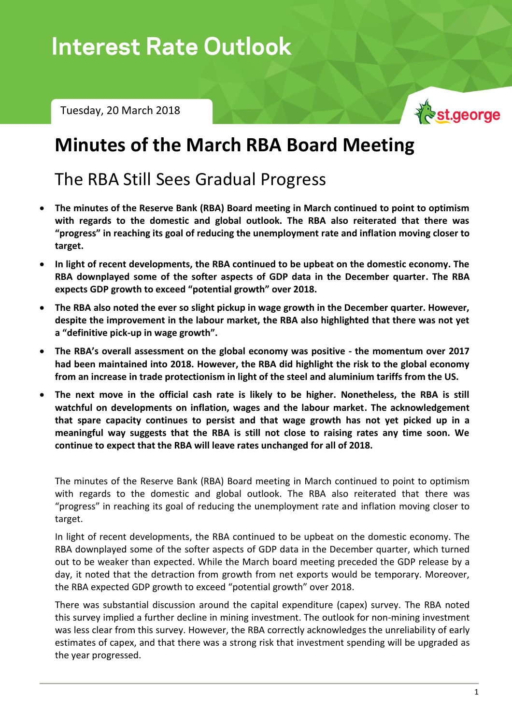# Interest Rate Outlook – Tuesday, 20 March 2018

Tuesday, 20 March 2018



# **Minutes of the March RBA Board Meeting**

## The RBA Still Sees Gradual Progress

- **The minutes of the Reserve Bank (RBA) Board meeting in March continued to point to optimism with regards to the domestic and global outlook. The RBA also reiterated that there was "progress" in reaching its goal of reducing the unemployment rate and inflation moving closer to target.**
- **In light of recent developments, the RBA continued to be upbeat on the domestic economy. The RBA downplayed some of the softer aspects of GDP data in the December quarter. The RBA expects GDP growth to exceed "potential growth" over 2018.**
- **The RBA also noted the ever so slight pickup in wage growth in the December quarter. However, despite the improvement in the labour market, the RBA also highlighted that there was not yet a "definitive pick-up in wage growth".**
- **The RBA's overall assessment on the global economy was positive - the momentum over 2017 had been maintained into 2018. However, the RBA did highlight the risk to the global economy from an increase in trade protectionism in light of the steel and aluminium tariffs from the US.**
- **The next move in the official cash rate is likely to be higher. Nonetheless, the RBA is still watchful on developments on inflation, wages and the labour market. The acknowledgement that spare capacity continues to persist and that wage growth has not yet picked up in a meaningful way suggests that the RBA is still not close to raising rates any time soon. We continue to expect that the RBA will leave rates unchanged for all of 2018.**

The minutes of the Reserve Bank (RBA) Board meeting in March continued to point to optimism with regards to the domestic and global outlook. The RBA also reiterated that there was "progress" in reaching its goal of reducing the unemployment rate and inflation moving closer to target.

In light of recent developments, the RBA continued to be upbeat on the domestic economy. The RBA downplayed some of the softer aspects of GDP data in the December quarter, which turned out to be weaker than expected. While the March board meeting preceded the GDP release by a day, it noted that the detraction from growth from net exports would be temporary. Moreover, the RBA expected GDP growth to exceed "potential growth" over 2018.

There was substantial discussion around the capital expenditure (capex) survey. The RBA noted this survey implied a further decline in mining investment. The outlook for non-mining investment was less clear from this survey. However, the RBA correctly acknowledges the unreliability of early estimates of capex, and that there was a strong risk that investment spending will be upgraded as the year progressed.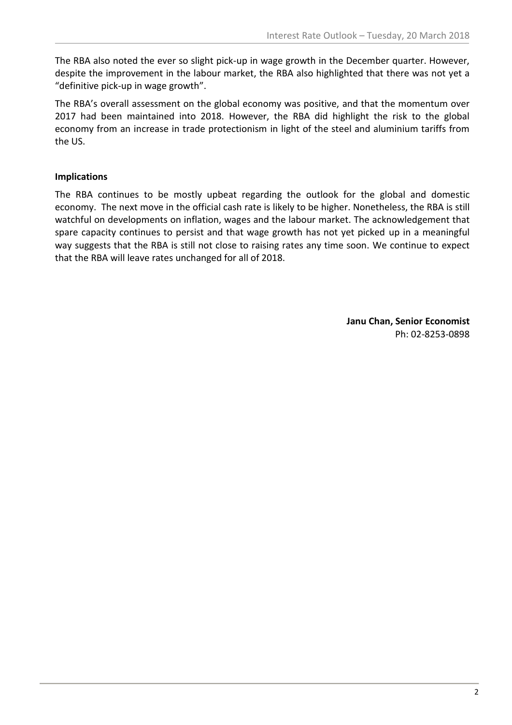The RBA also noted the ever so slight pick-up in wage growth in the December quarter. However, despite the improvement in the labour market, the RBA also highlighted that there was not yet a "definitive pick-up in wage growth".

The RBA's overall assessment on the global economy was positive, and that the momentum over 2017 had been maintained into 2018. However, the RBA did highlight the risk to the global economy from an increase in trade protectionism in light of the steel and aluminium tariffs from the US.

### **Implications**

The RBA continues to be mostly upbeat regarding the outlook for the global and domestic economy. The next move in the official cash rate is likely to be higher. Nonetheless, the RBA is still watchful on developments on inflation, wages and the labour market. The acknowledgement that spare capacity continues to persist and that wage growth has not yet picked up in a meaningful way suggests that the RBA is still not close to raising rates any time soon. We continue to expect that the RBA will leave rates unchanged for all of 2018.

> **Janu Chan, Senior Economist** Ph: 02-8253-0898